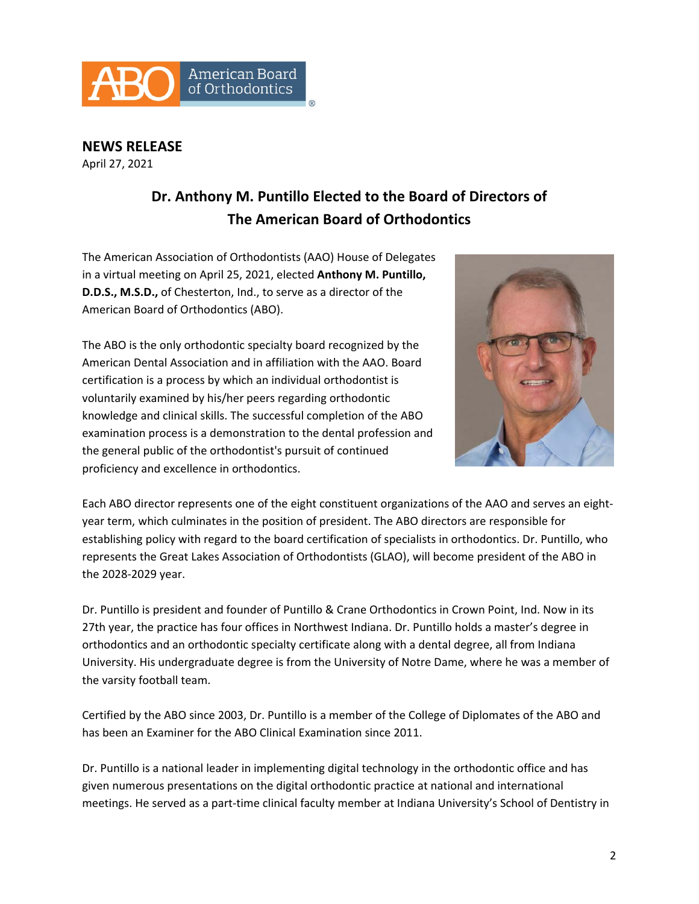

**NEWS RELEASE**  April 27, 2021

## **Dr. Anthony M. Puntillo Elected to the Board of Directors of The American Board of Orthodontics**

The American Association of Orthodontists (AAO) House of Delegates in a virtual meeting on April 25, 2021, elected **Anthony M. Puntillo, D.D.S., M.S.D.,** of Chesterton, Ind., to serve as a director of the American Board of Orthodontics (ABO).

The ABO is the only orthodontic specialty board recognized by the American Dental Association and in affiliation with the AAO. Board certification is a process by which an individual orthodontist is voluntarily examined by his/her peers regarding orthodontic knowledge and clinical skills. The successful completion of the ABO examination process is a demonstration to the dental profession and the general public of the orthodontist's pursuit of continued proficiency and excellence in orthodontics.



Each ABO director represents one of the eight constituent organizations of the AAO and serves an eight‐ year term, which culminates in the position of president. The ABO directors are responsible for establishing policy with regard to the board certification of specialists in orthodontics. Dr. Puntillo, who represents the Great Lakes Association of Orthodontists (GLAO), will become president of the ABO in the 2028‐2029 year.

Dr. Puntillo is president and founder of Puntillo & Crane Orthodontics in Crown Point, Ind. Now in its 27th year, the practice has four offices in Northwest Indiana. Dr. Puntillo holds a master's degree in orthodontics and an orthodontic specialty certificate along with a dental degree, all from Indiana University. His undergraduate degree is from the University of Notre Dame, where he was a member of the varsity football team.

Certified by the ABO since 2003, Dr. Puntillo is a member of the College of Diplomates of the ABO and has been an Examiner for the ABO Clinical Examination since 2011.

Dr. Puntillo is a national leader in implementing digital technology in the orthodontic office and has given numerous presentations on the digital orthodontic practice at national and international meetings. He served as a part‐time clinical faculty member at Indiana University's School of Dentistry in